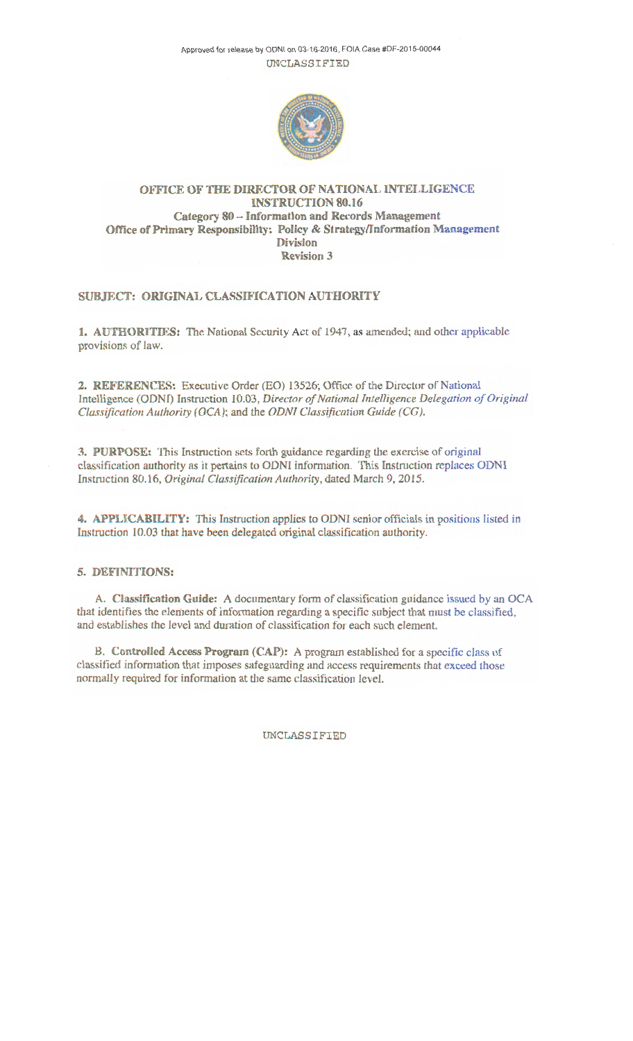Approved for release by ODNI on 03-16-2016, FOIA Case #DF-2015-00044 UNCLASSIFIED



## OFFICE OF THE DIRECTOR OF NATIONAL INTELLIGENCE INSTRUCTION 80.16 Category 80 - Information and Records Management Office of Primary Responsibility: Policy & Strategy/Information Management Division Revision 3

# SUBJECT: ORIGINAL CLASSIFICATION AUTHORITY

1. AUTHORITIES: The National Security Act of 1947, as amended; and other applicable provisions of law.

2. REFERENCES: Executive Order (EO) 13526; Office of the Director of National Intelligence (ODNI) Instruction 10.03, *Director of National Intelligence Delegation of Original Classification Authority (OCA);* and the *ODNI Classification Guide (CG).* 

3. PURPOSE: This Instruction sets forth guidance regarding the exercise of original classification authority as it pertains to ODNI information. This Instruction replaces ODNI Instruction 80.16, *Original Classification Authority,* dated March 9, 2015.

4. APPLICABILITY: This Instruction applies to ODNI senior officials in positions listed in Instruction 10.03 that have been delegated original classification authority.

#### 5. DEFINITIONS:

A. Classification Guide: A documentary form of classification guidance issued by an OCA that identifies the elements of information regarding a specific subject that must be classified, and establishes the level and duration of classification for each such element.

B. Controlled Access Program (CAP): A program established for a specific class of classified information that imposes safeguarding and access requirements that exceed those normally required for information at the same classification level.

UNCLASSIFIED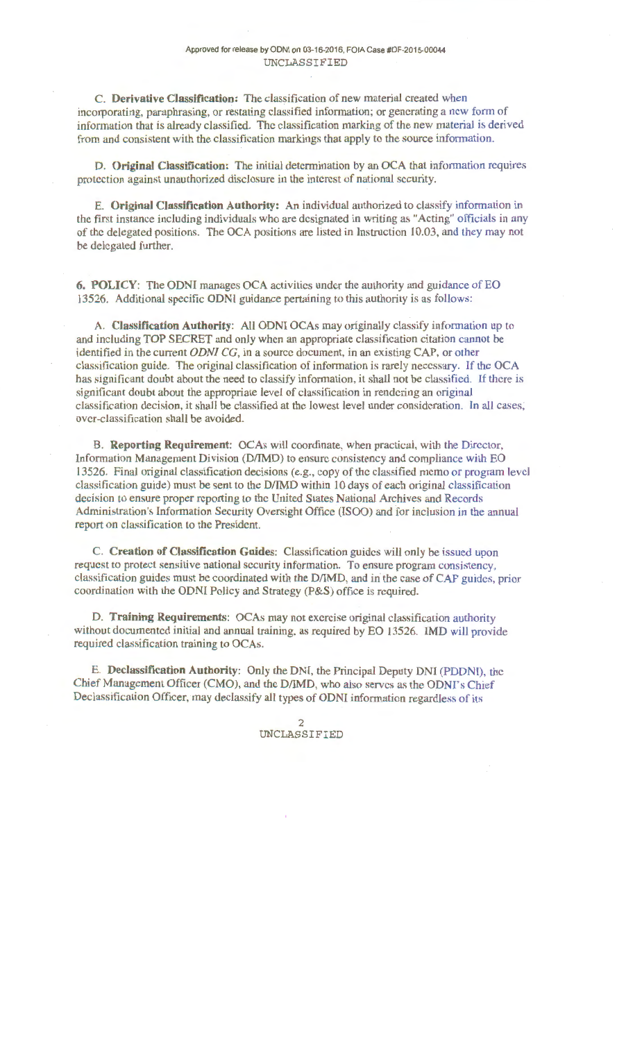C. **Derivative Classification:** The classification of new material created when incorporating, paraphrasing, or restating classified information; or generating a new form of information that is already classified. The classification marking of the new material is derived from and consistent with the classification markings that apply to the source information.

**D. Original Classification:** The initial determination by an OCA that information requires protection against unauthorized disclosure in the interest of national security.

E. **Original Classification Authority:** An individual authorized to classify information in the first instance including individuals who are designated in writing as "Acting" officials in any of the delegated positions. The OCA positions are listed in Instruction 10.03, and they may not be delegated further.

**6. POLICY:** The ODNI manages OCA activities under the authority and guidance of EO 13526. Additional specific ODNI guidance pertaining to this authority is as follows:

A. **Classification Authority:** All ODNI OCAs may originally classify information up to and including TOP SECRET and only when an appropriate classification citation cannot be identified in the current *ODNI CG,* in a source document, in an existing CAP, or other classification guide. The original classification of information is rarely necessary. If the OCA has significant doubt about the need to classify information, it shall not be classified. If there is significant doubt about the appropriate level of classification in rendering an original classification decision, it shall be classified at the lowest level under consideration. In all cases, over-classification shall be avoided.

**B. Reporting Requirement:** OCAs will coordinate, when practical, with the Director, Information Management Division (D/IMD) to ensure consistency and compliance with EO I 3526. Final original classification decisions (e.g., copy of the classified memo or program level classification guide) must be sent to the D/IMD within 10 days of each original classification decision to ensure proper reporting to the United States National Archives and Records Administration's Information Security Oversight Office (ISOO) and for inclusion in the annual report on classification to the President.

C. **Creation of Classification Guides:** Classification guides will only be issued upon request to protect sensitive national security information. To ensure program consistency, classification guides must be coordinated with the D/IMD, and in· the case of CAP guides, prior coordination with the ODNI Policy and Strategy (P&S) office is required.

**D. Training Requirements:** OCAs may not exercise original classification authority without documented initial and annual training, as required by EO 13526. IMD will provide required classification training to OCAs.

E. **Declassification Authority:** Only the DNI, the Principal Deputy DNI (POONI), the Chief Management Officer (CMO), and the D/IMD, who also serves as the ODNI's Chief Declassification Officer, may declassify all types of ODNI information regardless of its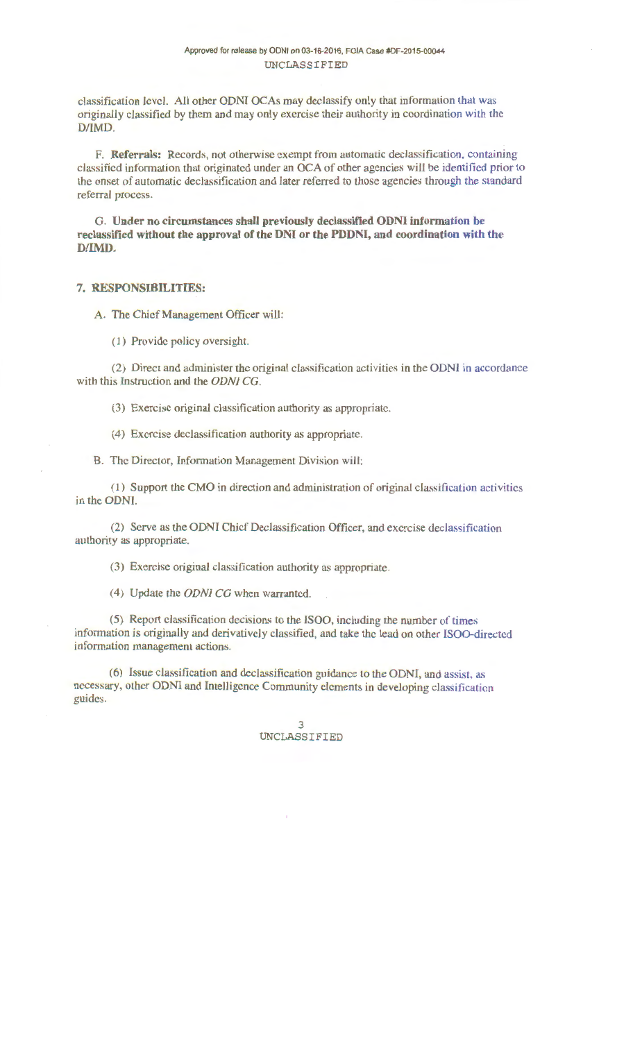classification level. All other ODNI OCAs may declassify only that information that was originally classified by them and may only exercise their authority in coordination with the D/IMD.

F. **Referrals:** Records, not otherwise exempt from automatic declassification, containing classified information that originated under an OCA of other agencies will be identified prior to the onset of automatic declassification and later referred to those agencies through the standard referral process.

G. **Under no circumstances shall previously declassified ODNI information be reclassified without the approval of the DNI or the PDDNI, and coordination with the D/IMD.** 

## **7. RESPONSIBILITIES:**

A. The Chief Management Officer will:

(I) Provide policy oversight.

(2) Direct and administer the original classification activities in the ODNI in accordance with this Instruction and the ODNI CG.

(3) Exercise original classification authority as appropriate.

( 4) Exercise declassification authority as appropriate.

B. The Director, Information Management Division will:

( 1) Support the CMO in direction and administration of original classification activities in the ODNI.

(2) Serve as the ODNI Chief Declassification Officer, and exercise declassification authority as appropriate.

(3) Exercise original classification authority as appropriate.

(4) Update the ODNI CG when warranted.

(5) Report classification decisions to the ISOO, including the number of times information is originally and derivatively classified, and take the lead on other ISOO-directed information management actions.

(6) Issue classification and declassification guidance to the ODNI, and assist, as necessary, other ODNI and Intelligence Community clements in developing classification guides.

## 3 UNCLASSIFIED